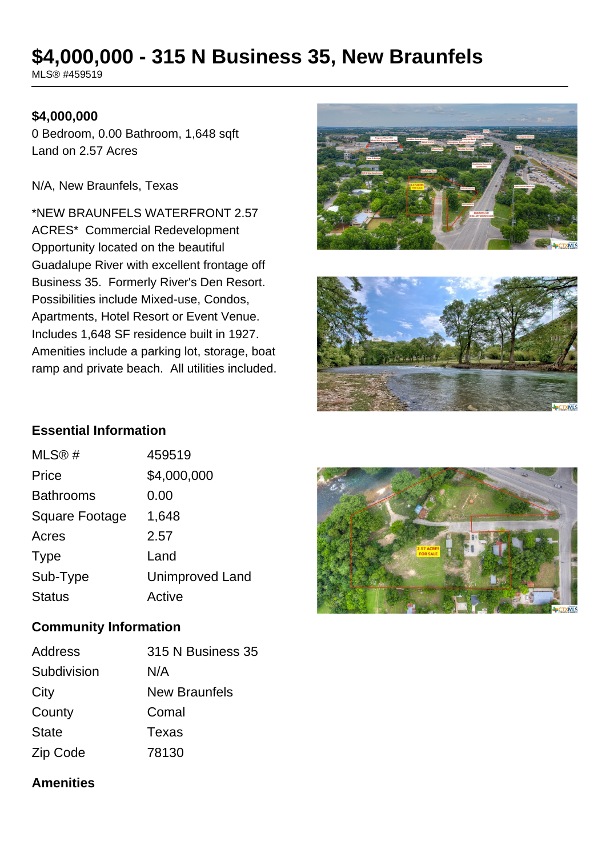# **\$4,000,000 - 315 N Business 35, New Braunfels**

MLS® #459519

### **\$4,000,000**

0 Bedroom, 0.00 Bathroom, 1,648 sqft Land on 2.57 Acres

N/A, New Braunfels, Texas

\*NEW BRAUNFELS WATERFRONT 2.57 ACRES\* Commercial Redevelopment Opportunity located on the beautiful Guadalupe River with excellent frontage off Business 35. Formerly River's Den Resort. Possibilities include Mixed-use, Condos, Apartments, Hotel Resort or Event Venue. Includes 1,648 SF residence built in 1927. Amenities include a parking lot, storage, boat ramp and private beach. All utilities included.





### **Essential Information**

| MLS@#                 | 459519                 |
|-----------------------|------------------------|
| Price                 | \$4,000,000            |
| <b>Bathrooms</b>      | 0.00                   |
| <b>Square Footage</b> | 1,648                  |
| Acres                 | 2.57                   |
| <b>Type</b>           | Land                   |
| Sub-Type              | <b>Unimproved Land</b> |
| <b>Status</b>         | Active                 |

#### **Community Information**

| <b>Address</b> | 315 N Business 35    |
|----------------|----------------------|
| Subdivision    | N/A                  |
| City           | <b>New Braunfels</b> |
| County         | Comal                |
| <b>State</b>   | Texas                |
| Zip Code       | 78130                |

# **Amenities**